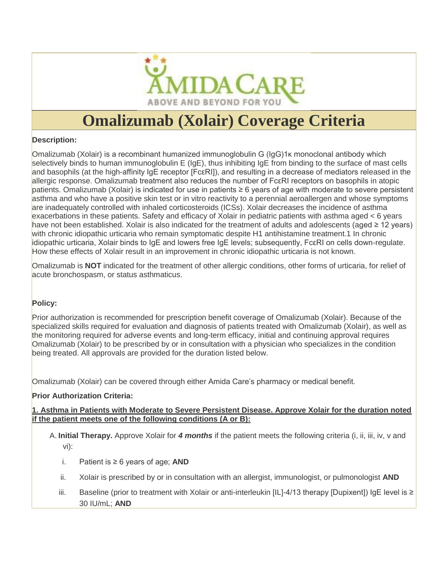

# **Omalizumab (Xolair) Coverage Criteria**

#### **Description:**

Omalizumab (Xolair) is a recombinant humanized immunoglobulin G (IgG)1κ monoclonal antibody which selectively binds to human immunoglobulin E (IgE), thus inhibiting IgE from binding to the surface of mast cells and basophils (at the high-affinity IgE receptor [FcεRI]), and resulting in a decrease of mediators released in the allergic response. Omalizumab treatment also reduces the number of FcεRI receptors on basophils in atopic patients. Omalizumab (Xolair) is indicated for use in patients ≥ 6 years of age with moderate to severe persistent asthma and who have a positive skin test or in vitro reactivity to a perennial aeroallergen and whose symptoms are inadequately controlled with inhaled corticosteroids (ICSs). Xolair decreases the incidence of asthma exacerbations in these patients. Safety and efficacy of Xolair in pediatric patients with asthma aged < 6 years have not been established. Xolair is also indicated for the treatment of adults and adolescents (aged ≥ 12 years) with chronic idiopathic urticaria who remain symptomatic despite H1 antihistamine treatment.1 In chronic idiopathic urticaria, Xolair binds to IgE and lowers free IgE levels; subsequently, FcεRI on cells down-regulate. How these effects of Xolair result in an improvement in chronic idiopathic urticaria is not known.

Omalizumab is **NOT** indicated for the treatment of other allergic conditions, other forms of urticaria, for relief of acute bronchospasm, or status asthmaticus.

#### **Policy:**

Prior authorization is recommended for prescription benefit coverage of Omalizumab (Xolair). Because of the specialized skills required for evaluation and diagnosis of patients treated with Omalizumab (Xolair), as well as the monitoring required for adverse events and long-term efficacy, initial and continuing approval requires Omalizumab (Xolair) to be prescribed by or in consultation with a physician who specializes in the condition being treated. All approvals are provided for the duration listed below.

Omalizumab (Xolair) can be covered through either Amida Care's pharmacy or medical benefit.

#### **Prior Authorization Criteria:**

**1. Asthma in Patients with Moderate to Severe Persistent Disease. Approve Xolair for the duration noted if the patient meets one of the following conditions (A or B):**

A. **Initial Therapy.** Approve Xolair for *4 months* if the patient meets the following criteria (i, ii, iii, iv, v and vi):

- i. Patient is ≥ 6 years of age; **AND**
- ii. Xolair is prescribed by or in consultation with an allergist, immunologist, or pulmonologist **AND**
- iii. Baseline (prior to treatment with Xolair or anti-interleukin [IL]-4/13 therapy [Dupixent]) IgE level is ≥ 30 IU/mL; **AND**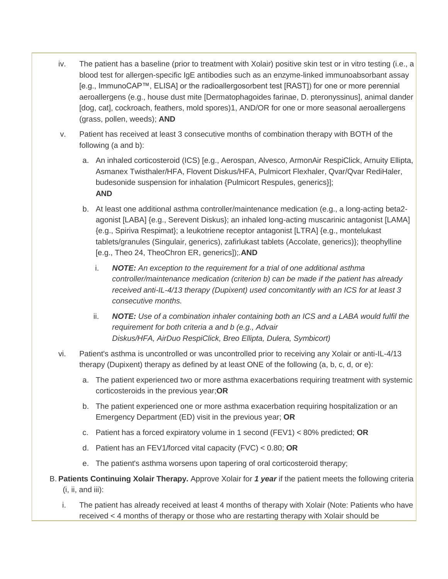- iv. The patient has a baseline (prior to treatment with Xolair) positive skin test or in vitro testing (i.e., a blood test for allergen-specific IgE antibodies such as an enzyme-linked immunoabsorbant assay [e.g., ImmunoCAP™, ELISA] or the radioallergosorbent test [RAST]) for one or more perennial aeroallergens (e.g., house dust mite [Dermatophagoides farinae, D. pteronyssinus], animal dander [dog, cat], cockroach, feathers, mold spores)1, AND/OR for one or more seasonal aeroallergens (grass, pollen, weeds); **AND**
- v. Patient has received at least 3 consecutive months of combination therapy with BOTH of the following (a and b):
	- a. An inhaled corticosteroid (ICS) [e.g., Aerospan, Alvesco, ArmonAir RespiClick, Arnuity Ellipta, Asmanex Twisthaler/HFA, Flovent Diskus/HFA, Pulmicort Flexhaler, Qvar/Qvar RediHaler, budesonide suspension for inhalation {Pulmicort Respules, generics}]; **AND**
	- b. At least one additional asthma controller/maintenance medication (e.g., a long-acting beta2 agonist [LABA] {e.g., Serevent Diskus}; an inhaled long-acting muscarinic antagonist [LAMA] {e.g., Spiriva Respimat}; a leukotriene receptor antagonist [LTRA] {e.g., montelukast tablets/granules (Singulair, generics), zafirlukast tablets (Accolate, generics)}; theophylline [e.g., Theo 24, TheoChron ER, generics]);*.***AND**
		- i. *NOTE: An exception to the requirement for a trial of one additional asthma controller/maintenance medication (criterion b) can be made if the patient has already received anti-IL-4/13 therapy (Dupixent) used concomitantly with an ICS for at least 3 consecutive months.*
		- ii. *NOTE: Use of a combination inhaler containing both an ICS and a LABA would fulfil the requirement for both criteria a and b (e.g., Advair Diskus/HFA, AirDuo RespiClick, Breo Ellipta, Dulera, Symbicort)*
- vi. Patient's asthma is uncontrolled or was uncontrolled prior to receiving any Xolair or anti-IL-4/13 therapy (Dupixent) therapy as defined by at least ONE of the following (a, b, c, d, or e):
	- a. The patient experienced two or more asthma exacerbations requiring treatment with systemic corticosteroids in the previous year;**OR**
	- b. The patient experienced one or more asthma exacerbation requiring hospitalization or an Emergency Department (ED) visit in the previous year; **OR**
	- c. Patient has a forced expiratory volume in 1 second (FEV1) < 80% predicted; **OR**
	- d. Patient has an FEV1/forced vital capacity (FVC) < 0.80; **OR**
	- e. The patient's asthma worsens upon tapering of oral corticosteroid therapy;
- B. **Patients Continuing Xolair Therapy.** Approve Xolair for *1 year* if the patient meets the following criteria  $(i, ii, and iii)$ :
	- i. The patient has already received at least 4 months of therapy with Xolair (Note: Patients who have received < 4 months of therapy or those who are restarting therapy with Xolair should be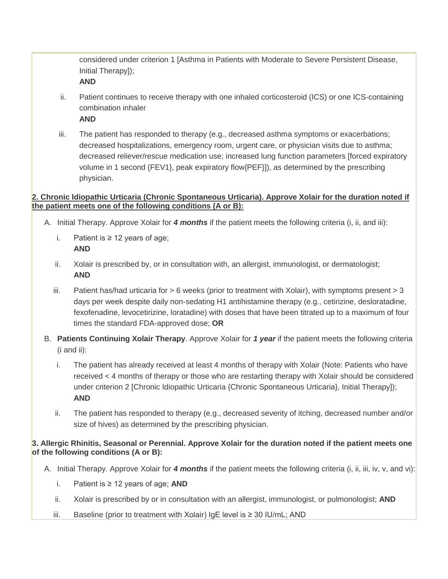considered under criterion 1 [Asthma in Patients with Moderate to Severe Persistent Disease, Initial Therapy]);

**AND**

ii. Patient continues to receive therapy with one inhaled corticosteroid (ICS) or one ICS-containing combination inhaler

**AND**

iii. The patient has responded to therapy (e.g., decreased asthma symptoms or exacerbations; decreased hospitalizations, emergency room, urgent care, or physician visits due to asthma; decreased reliever/rescue medication use; increased lung function parameters [forced expiratory volume in 1 second {FEV1}, peak expiratory flow{PEF}]), as determined by the prescribing physician.

#### **2. Chronic Idiopathic Urticaria (Chronic Spontaneous Urticaria). Approve Xolair for the duration noted if the patient meets one of the following conditions (A or B):**

- A. Initial Therapy. Approve Xolair for *4 months* if the patient meets the following criteria (i, ii, and iii):
	- i. Patient is ≥ 12 years of age; **AND**
	- ii. Xolair is prescribed by, or in consultation with, an allergist, immunologist, or dermatologist; **AND**
	- iii. Patient has/had urticaria for  $> 6$  weeks (prior to treatment with Xolair), with symptoms present  $> 3$ days per week despite daily non-sedating H1 antihistamine therapy (e.g., cetirizine, desloratadine, fexofenadine, levocetirizine, loratadine) with doses that have been titrated up to a maximum of four times the standard FDA-approved dose; **OR**
- B. **Patients Continuing Xolair Therapy**. Approve Xolair for *1 year* if the patient meets the following criteria (i and ii):
	- i. The patient has already received at least 4 months of therapy with Xolair (Note: Patients who have received < 4 months of therapy or those who are restarting therapy with Xolair should be considered under criterion 2 [Chronic Idiopathic Urticaria {Chronic Spontaneous Urticaria}, Initial Therapy]); **AND**
	- ii. The patient has responded to therapy (e.g., decreased severity of itching, decreased number and/or size of hives) as determined by the prescribing physician.

### **3. Allergic Rhinitis, Seasonal or Perennial. Approve Xolair for the duration noted if the patient meets one of the following conditions (A or B):**

- A. Initial Therapy. Approve Xolair for *4 months* if the patient meets the following criteria (i, ii, iii, iv, v, and vi):
	- i. Patient is ≥ 12 years of age; **AND**
	- ii. Xolair is prescribed by or in consultation with an allergist, immunologist, or pulmonologist; **AND**
	- iii. Baseline (prior to treatment with Xolair) IgE level is ≥ 30 IU/mL; AND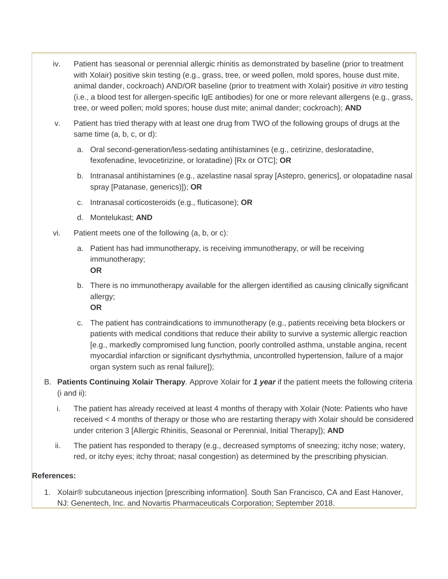- iv. Patient has seasonal or perennial allergic rhinitis as demonstrated by baseline (prior to treatment with Xolair) positive skin testing (e.g., grass, tree, or weed pollen, mold spores, house dust mite, animal dander, cockroach) AND/OR baseline (prior to treatment with Xolair) positive *in vitro* testing (i.e., a blood test for allergen-specific IgE antibodies) for one or more relevant allergens (e.g., grass, tree, or weed pollen; mold spores; house dust mite; animal dander; cockroach); **AND**
- v. Patient has tried therapy with at least one drug from TWO of the following groups of drugs at the same time (a, b, c, or d):
	- a. Oral second-generation/less-sedating antihistamines (e.g., cetirizine, desloratadine, fexofenadine, levocetirizine, or loratadine) [Rx or OTC]; **OR**
	- b. Intranasal antihistamines (e.g., azelastine nasal spray [Astepro, generics], or olopatadine nasal spray [Patanase, generics)]); **OR**
	- c. Intranasal corticosteroids (e.g., fluticasone); **OR**
	- d. Montelukast; **AND**
- vi. Patient meets one of the following (a, b, or c):
	- a. Patient has had immunotherapy, is receiving immunotherapy, or will be receiving immunotherapy; **OR**
		-
	- b. There is no immunotherapy available for the allergen identified as causing clinically significant allergy;
		- **OR**
	- c. The patient has contraindications to immunotherapy (e.g., patients receiving beta blockers or patients with medical conditions that reduce their ability to survive a systemic allergic reaction [e.g., markedly compromised lung function, poorly controlled asthma, unstable angina, recent myocardial infarction or significant dysrhythmia, uncontrolled hypertension, failure of a major organ system such as renal failure]);
- B. **Patients Continuing Xolair Therapy**. Approve Xolair for *1 year* if the patient meets the following criteria (i and ii):
	- i. The patient has already received at least 4 months of therapy with Xolair (Note: Patients who have received < 4 months of therapy or those who are restarting therapy with Xolair should be considered under criterion 3 [Allergic Rhinitis, Seasonal or Perennial, Initial Therapy]); **AND**
	- ii. The patient has responded to therapy (e.g., decreased symptoms of sneezing; itchy nose; watery, red, or itchy eyes; itchy throat; nasal congestion) as determined by the prescribing physician.

## **References:**

1. Xolair® subcutaneous injection [prescribing information]. South San Francisco, CA and East Hanover, NJ: Genentech, Inc. and Novartis Pharmaceuticals Corporation; September 2018.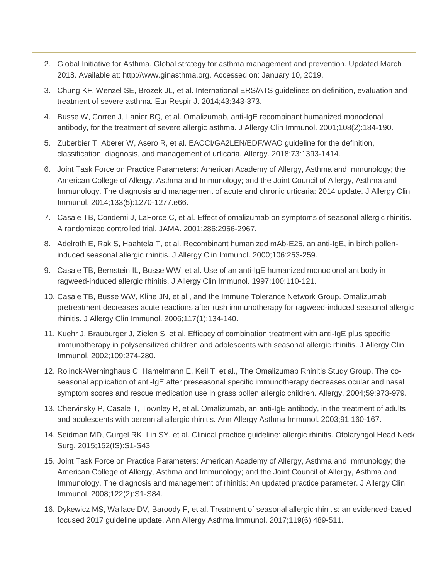- 2. Global Initiative for Asthma. Global strategy for asthma management and prevention. Updated March 2018. Available at: http://www.ginasthma.org. Accessed on: January 10, 2019.
- 3. Chung KF, Wenzel SE, Brozek JL, et al. International ERS/ATS guidelines on definition, evaluation and treatment of severe asthma. Eur Respir J. 2014;43:343-373.
- 4. Busse W, Corren J, Lanier BQ, et al. Omalizumab, anti-IgE recombinant humanized monoclonal antibody, for the treatment of severe allergic asthma. J Allergy Clin Immunol. 2001;108(2):184-190.
- 5. Zuberbier T, Aberer W, Asero R, et al. EACCI/GA2LEN/EDF/WAO guideline for the definition, classification, diagnosis, and management of urticaria. Allergy. 2018;73:1393-1414.
- 6. Joint Task Force on Practice Parameters: American Academy of Allergy, Asthma and Immunology; the American College of Allergy, Asthma and Immunology; and the Joint Council of Allergy, Asthma and Immunology. The diagnosis and management of acute and chronic urticaria: 2014 update. J Allergy Clin Immunol. 2014;133(5):1270-1277.e66.
- 7. Casale TB, Condemi J, LaForce C, et al. Effect of omalizumab on symptoms of seasonal allergic rhinitis. A randomized controlled trial. JAMA. 2001;286:2956-2967.
- 8. Adelroth E, Rak S, Haahtela T, et al. Recombinant humanized mAb-E25, an anti-IgE, in birch polleninduced seasonal allergic rhinitis. J Allergy Clin Immunol. 2000;106:253-259.
- 9. Casale TB, Bernstein IL, Busse WW, et al. Use of an anti-IgE humanized monoclonal antibody in ragweed-induced allergic rhinitis. J Allergy Clin Immunol. 1997;100:110-121.
- 10. Casale TB, Busse WW, Kline JN, et al., and the Immune Tolerance Network Group. Omalizumab pretreatment decreases acute reactions after rush immunotherapy for ragweed-induced seasonal allergic rhinitis. J Allergy Clin Immunol. 2006;117(1):134-140.
- 11. Kuehr J, Brauburger J, Zielen S, et al. Efficacy of combination treatment with anti-IgE plus specific immunotherapy in polysensitized children and adolescents with seasonal allergic rhinitis. J Allergy Clin Immunol. 2002;109:274-280.
- 12. Rolinck-Werninghaus C, Hamelmann E, Keil T, et al., The Omalizumab Rhinitis Study Group. The coseasonal application of anti-IgE after preseasonal specific immunotherapy decreases ocular and nasal symptom scores and rescue medication use in grass pollen allergic children. Allergy. 2004;59:973-979.
- 13. Chervinsky P, Casale T, Townley R, et al. Omalizumab, an anti-IgE antibody, in the treatment of adults and adolescents with perennial allergic rhinitis. Ann Allergy Asthma Immunol. 2003;91:160-167.
- 14. Seidman MD, Gurgel RK, Lin SY, et al. Clinical practice guideline: allergic rhinitis. Otolaryngol Head Neck Surg. 2015;152(IS):S1-S43.
- 15. Joint Task Force on Practice Parameters: American Academy of Allergy, Asthma and Immunology; the American College of Allergy, Asthma and Immunology; and the Joint Council of Allergy, Asthma and Immunology. The diagnosis and management of rhinitis: An updated practice parameter. J Allergy Clin Immunol. 2008;122(2):S1-S84.
- 16. Dykewicz MS, Wallace DV, Baroody F, et al. Treatment of seasonal allergic rhinitis: an evidenced-based focused 2017 guideline update. Ann Allergy Asthma Immunol. 2017;119(6):489-511.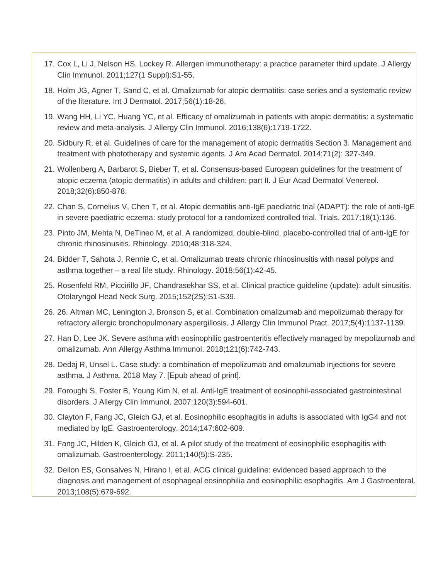- 17. Cox L, Li J, Nelson HS, Lockey R. Allergen immunotherapy: a practice parameter third update. J Allergy Clin Immunol. 2011;127(1 Suppl):S1-55.
- 18. Holm JG, Agner T, Sand C, et al. Omalizumab for atopic dermatitis: case series and a systematic review of the literature. Int J Dermatol. 2017;56(1):18-26.
- 19. Wang HH, Li YC, Huang YC, et al. Efficacy of omalizumab in patients with atopic dermatitis: a systematic review and meta-analysis. J Allergy Clin Immunol. 2016;138(6):1719-1722.
- 20. Sidbury R, et al. Guidelines of care for the management of atopic dermatitis Section 3. Management and treatment with phototherapy and systemic agents. J Am Acad Dermatol. 2014;71(2): 327-349.
- 21. Wollenberg A, Barbarot S, Bieber T, et al. Consensus-based European guidelines for the treatment of atopic eczema (atopic dermatitis) in adults and children: part II. J Eur Acad Dermatol Venereol. 2018;32(6):850-878.
- 22. Chan S, Cornelius V, Chen T, et al. Atopic dermatitis anti-IgE paediatric trial (ADAPT): the role of anti-IgE in severe paediatric eczema: study protocol for a randomized controlled trial. Trials. 2017;18(1):136.
- 23. Pinto JM, Mehta N, DeTineo M, et al. A randomized, double-blind, placebo-controlled trial of anti-IgE for chronic rhinosinusitis. Rhinology. 2010;48:318-324.
- 24. Bidder T, Sahota J, Rennie C, et al. Omalizumab treats chronic rhinosinusitis with nasal polyps and asthma together – a real life study. Rhinology. 2018;56(1):42-45.
- 25. Rosenfeld RM, Piccirillo JF, Chandrasekhar SS, et al. Clinical practice guideline (update): adult sinusitis. Otolaryngol Head Neck Surg. 2015;152(2S):S1-S39.
- 26. 26. Altman MC, Lenington J, Bronson S, et al. Combination omalizumab and mepolizumab therapy for refractory allergic bronchopulmonary aspergillosis. J Allergy Clin Immunol Pract. 2017;5(4):1137-1139.
- 27. Han D, Lee JK. Severe asthma with eosinophilic gastroenteritis effectively managed by mepolizumab and omalizumab. Ann Allergy Asthma Immunol. 2018;121(6):742-743.
- 28. Dedaj R, Unsel L. Case study: a combination of mepolizumab and omalizumab injections for severe asthma. J Asthma. 2018 May 7. [Epub ahead of print].
- 29. Foroughi S, Foster B, Young Kim N, et al. Anti-IgE treatment of eosinophil-associated gastrointestinal disorders. J Allergy Clin Immunol. 2007;120(3):594-601.
- 30. Clayton F, Fang JC, Gleich GJ, et al. Eosinophilic esophagitis in adults is associated with IgG4 and not mediated by IgE. Gastroenterology. 2014;147:602-609.
- 31. Fang JC, Hilden K, Gleich GJ, et al. A pilot study of the treatment of eosinophilic esophagitis with omalizumab. Gastroenterology. 2011;140(5):S-235.
- 32. Dellon ES, Gonsalves N, Hirano I, et al. ACG clinical guideline: evidenced based approach to the diagnosis and management of esophageal eosinophilia and eosinophilic esophagitis. Am J Gastroenteral. 2013;108(5):679-692.